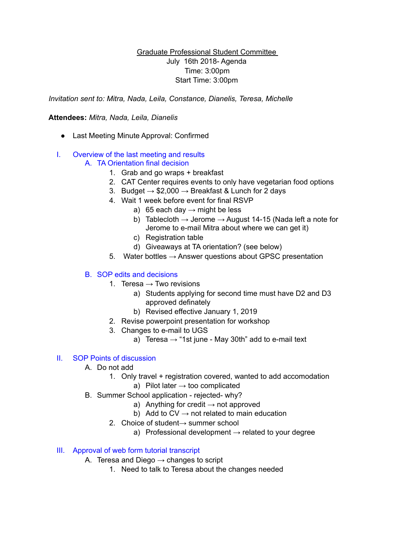## Graduate Professional Student Committee July 16th 2018- Agenda Time: 3:00pm Start Time: 3:00pm

*Invitation sent to: Mitra, Nada, Leila, Constance, Dianelis, Teresa, Michelle* 

#### **Attendees:** *Mitra, Nada, Leila, Dianelis*

● Last Meeting Minute Approval: Confirmed

# I. Overview of the last meeting and results

# A. TA Orientation final decision

- 1. Grab and go wraps + breakfast
- 2. CAT Center requires events to only have vegetarian food options
- 3. Budget  $\rightarrow$  \$2,000  $\rightarrow$  Breakfast & Lunch for 2 days
- 4. Wait 1 week before event for final RSVP
	- a) 65 each day  $\rightarrow$  might be less
	- b) Tablecloth  $\rightarrow$  Jerome  $\rightarrow$  August 14-15 (Nada left a note for Jerome to e-mail Mitra about where we can get it)
	- c) Registration table
	- d) Giveaways at TA orientation? (see below)
- 5. Water bottles  $\rightarrow$  Answer questions about GPSC presentation

# B. SOP edits and decisions

- 1. Teresa  $\rightarrow$  Two revisions
	- a) Students applying for second time must have D2 and D3 approved definately
	- b) Revised effective January 1, 2019
- 2. Revise powerpoint presentation for workshop
- 3. Changes to e-mail to UGS
	- a) Teresa  $\rightarrow$  "1st june May 30th" add to e-mail text

# II. SOP Points of discussion

- A. Do not add
	- 1. Only travel + registration covered, wanted to add accomodation
		- a) Pilot later  $\rightarrow$  too complicated
- B. Summer School application rejected- why?
	- a) Anything for credit  $\rightarrow$  not approved
	- b) Add to  $CV \rightarrow not$  related to main education
	- 2. Choice of student→ summer school
		- a) Professional development  $\rightarrow$  related to your degree

#### III. Approval of web form tutorial transcript

- A. Teresa and Diego  $\rightarrow$  changes to script
	- 1. Need to talk to Teresa about the changes needed